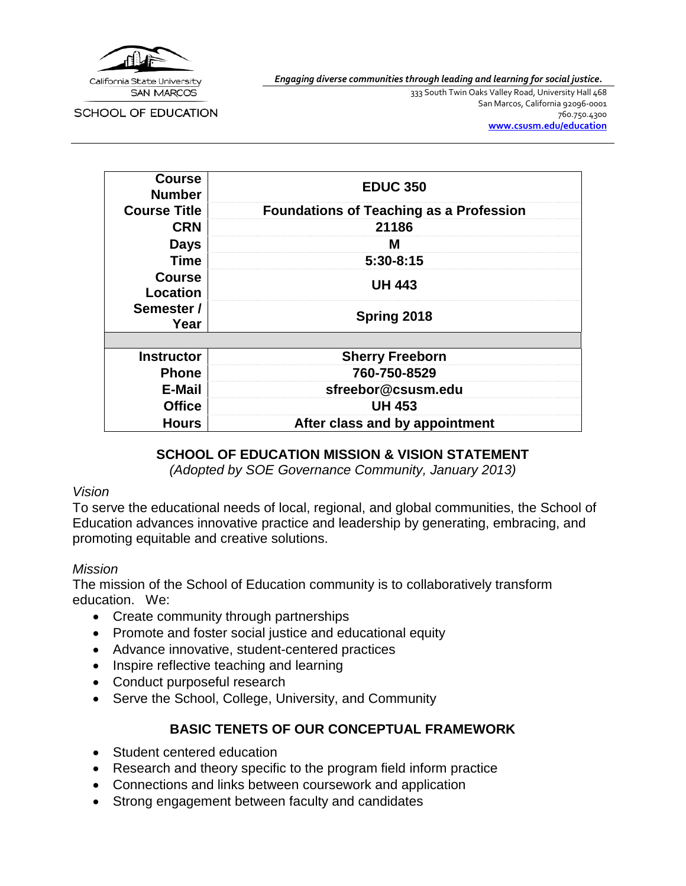

*Engaging diverse communities through leading and learning for social justice.*

SCHOOL OF EDUCATION

333 South Twin Oaks Valley Road, University Hall 468 San Marcos, California 92096-0001 760.750.4300 **[www.csusm.edu/education](http://www.csusm.edu/education)**

| <b>Course</b><br><b>Number</b> | <b>EDUC 350</b>                                |  |
|--------------------------------|------------------------------------------------|--|
| <b>Course Title</b>            | <b>Foundations of Teaching as a Profession</b> |  |
| <b>CRN</b>                     | 21186                                          |  |
| <b>Days</b>                    | м                                              |  |
| <b>Time</b>                    | 5:30-8:15                                      |  |
| <b>Course</b><br>Location      | <b>UH 443</b>                                  |  |
| Semester /<br>Year             | Spring 2018                                    |  |
|                                |                                                |  |
| <b>Instructor</b>              | <b>Sherry Freeborn</b>                         |  |
| <b>Phone</b>                   | 760-750-8529                                   |  |
| E-Mail                         | sfreebor@csusm.edu                             |  |
| <b>Office</b>                  | <b>UH 453</b>                                  |  |
| <b>Hours</b>                   | After class and by appointment                 |  |

#### **SCHOOL OF EDUCATION MISSION & VISION STATEMENT**

*(Adopted by SOE Governance Community, January 2013)*

#### *Vision*

To serve the educational needs of local, regional, and global communities, the School of Education advances innovative practice and leadership by generating, embracing, and promoting equitable and creative solutions.

#### *Mission*

The mission of the School of Education community is to collaboratively transform education. We:

- Create community through partnerships
- Promote and foster social justice and educational equity
- Advance innovative, student-centered practices
- Inspire reflective teaching and learning
- Conduct purposeful research
- Serve the School, College, University, and Community

# **BASIC TENETS OF OUR CONCEPTUAL FRAMEWORK**

- Student centered education
- Research and theory specific to the program field inform practice
- Connections and links between coursework and application
- Strong engagement between faculty and candidates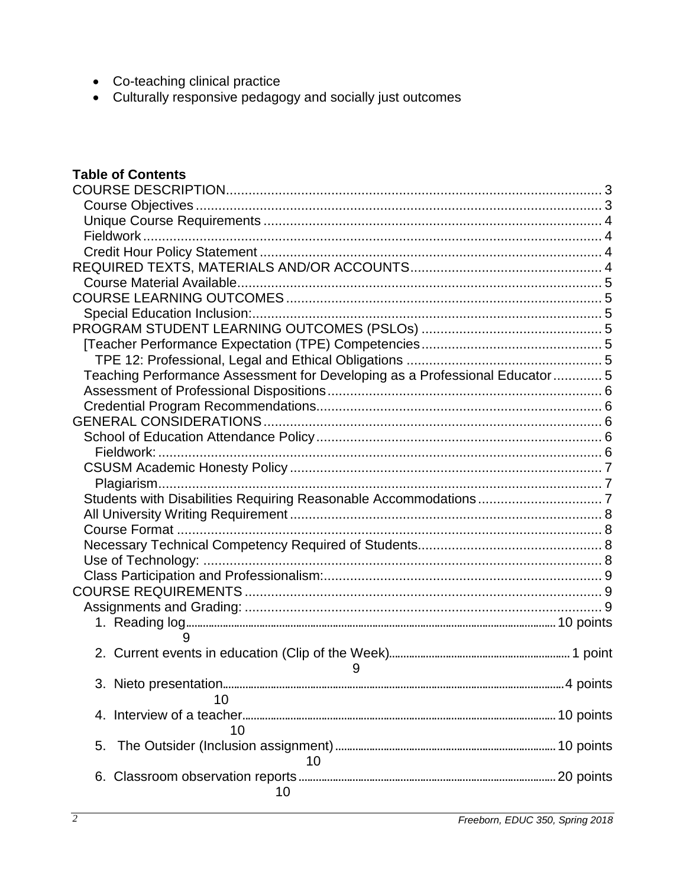- Co-teaching clinical practice
- Culturally responsive pedagogy and socially just outcomes

# **Table of Contents**

| Teaching Performance Assessment for Developing as a Professional Educator  5 |  |
|------------------------------------------------------------------------------|--|
|                                                                              |  |
|                                                                              |  |
|                                                                              |  |
|                                                                              |  |
|                                                                              |  |
|                                                                              |  |
|                                                                              |  |
|                                                                              |  |
|                                                                              |  |
|                                                                              |  |
|                                                                              |  |
|                                                                              |  |
|                                                                              |  |
|                                                                              |  |
|                                                                              |  |
|                                                                              |  |
| 9                                                                            |  |
|                                                                              |  |
| 9                                                                            |  |
|                                                                              |  |
| 10                                                                           |  |
|                                                                              |  |
| 10                                                                           |  |
| 5.                                                                           |  |
| 10                                                                           |  |
|                                                                              |  |
| 10                                                                           |  |
|                                                                              |  |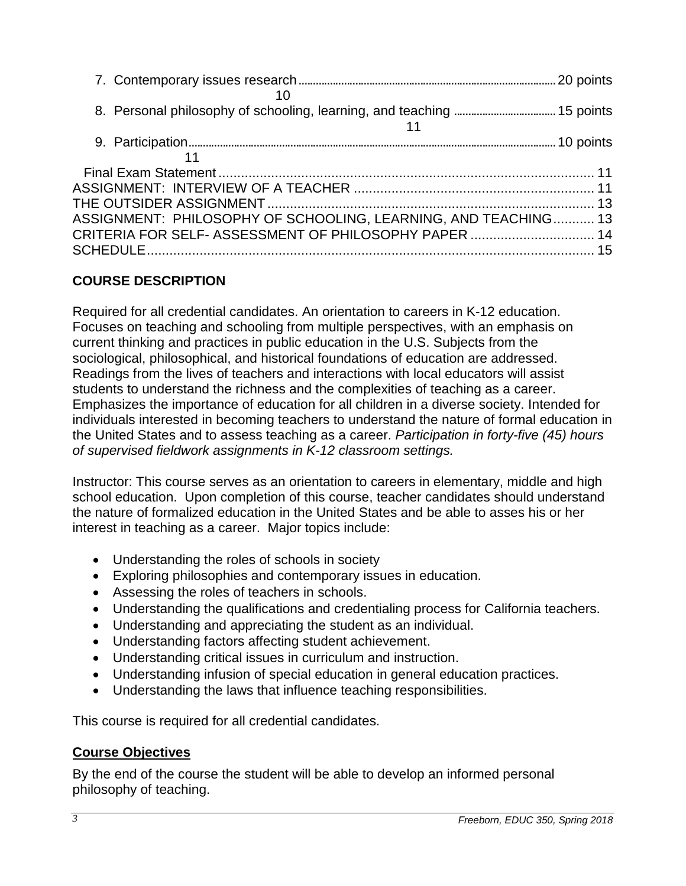| ASSIGNMENT: PHILOSOPHY OF SCHOOLING, LEARNING, AND TEACHING 13 |  |
|----------------------------------------------------------------|--|
| CRITERIA FOR SELF- ASSESSMENT OF PHILOSOPHY PAPER  14          |  |

# <span id="page-2-0"></span>**COURSE DESCRIPTION**

Required for all credential candidates. An orientation to careers in K-12 education. Focuses on teaching and schooling from multiple perspectives, with an emphasis on current thinking and practices in public education in the U.S. Subjects from the sociological, philosophical, and historical foundations of education are addressed. Readings from the lives of teachers and interactions with local educators will assist students to understand the richness and the complexities of teaching as a career. Emphasizes the importance of education for all children in a diverse society. Intended for individuals interested in becoming teachers to understand the nature of formal education in the United States and to assess teaching as a career. *Participation in forty-five (45) hours of supervised fieldwork assignments in K-12 classroom settings.*

Instructor: This course serves as an orientation to careers in elementary, middle and high school education. Upon completion of this course, teacher candidates should understand the nature of formalized education in the United States and be able to asses his or her interest in teaching as a career. Major topics include:

- Understanding the roles of schools in society
- Exploring philosophies and contemporary issues in education.
- Assessing the roles of teachers in schools.
- Understanding the qualifications and credentialing process for California teachers.
- Understanding and appreciating the student as an individual.
- Understanding factors affecting student achievement.
- Understanding critical issues in curriculum and instruction.
- Understanding infusion of special education in general education practices.
- Understanding the laws that influence teaching responsibilities.

This course is required for all credential candidates.

# <span id="page-2-1"></span>**Course Objectives**

By the end of the course the student will be able to develop an informed personal philosophy of teaching.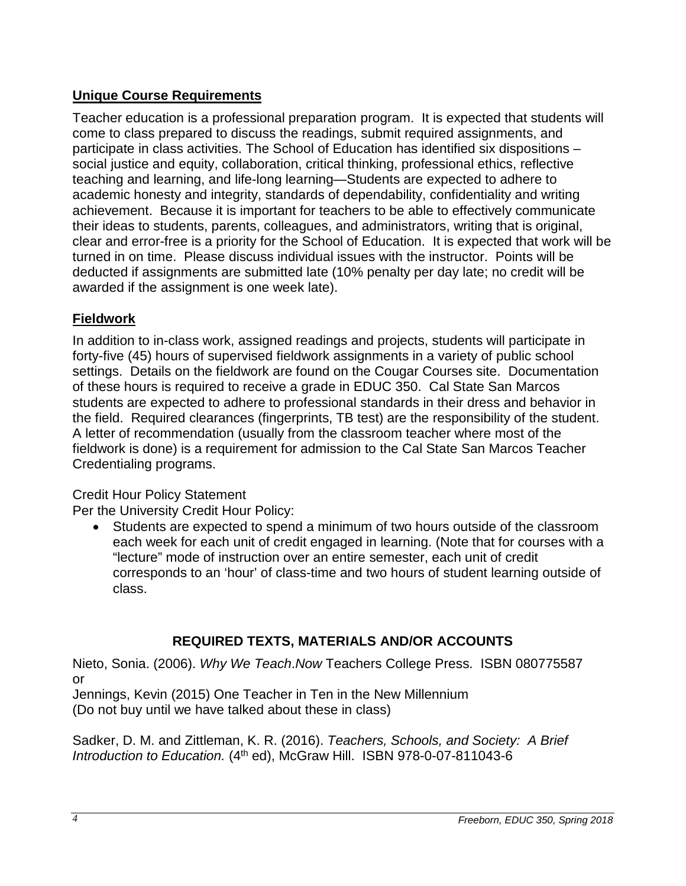# <span id="page-3-0"></span>**Unique Course Requirements**

Teacher education is a professional preparation program. It is expected that students will come to class prepared to discuss the readings, submit required assignments, and participate in class activities. The School of Education has identified six dispositions – social justice and equity, collaboration, critical thinking, professional ethics, reflective teaching and learning, and life-long learning—Students are expected to adhere to academic honesty and integrity, standards of dependability, confidentiality and writing achievement. Because it is important for teachers to be able to effectively communicate their ideas to students, parents, colleagues, and administrators, writing that is original, clear and error-free is a priority for the School of Education. It is expected that work will be turned in on time. Please discuss individual issues with the instructor. Points will be deducted if assignments are submitted late (10% penalty per day late; no credit will be awarded if the assignment is one week late).

# <span id="page-3-1"></span>**Fieldwork**

In addition to in-class work, assigned readings and projects, students will participate in forty-five (45) hours of supervised fieldwork assignments in a variety of public school settings. Details on the fieldwork are found on the Cougar Courses site. Documentation of these hours is required to receive a grade in EDUC 350. Cal State San Marcos students are expected to adhere to professional standards in their dress and behavior in the field. Required clearances (fingerprints, TB test) are the responsibility of the student. A letter of recommendation (usually from the classroom teacher where most of the fieldwork is done) is a requirement for admission to the Cal State San Marcos Teacher Credentialing programs.

# <span id="page-3-2"></span>Credit Hour Policy Statement

Per the University Credit Hour Policy:

• Students are expected to spend a minimum of two hours outside of the classroom each week for each unit of credit engaged in learning. (Note that for courses with a "lecture" mode of instruction over an entire semester, each unit of credit corresponds to an 'hour' of class-time and two hours of student learning outside of class.

# **REQUIRED TEXTS, MATERIALS AND/OR ACCOUNTS**

<span id="page-3-3"></span>Nieto, Sonia. (2006). *Why We Teach*.*Now* Teachers College Press. ISBN 080775587 or

Jennings, Kevin (2015) One Teacher in Ten in the New Millennium (Do not buy until we have talked about these in class)

Sadker, D. M. and Zittleman, K. R. (2016). *Teachers, Schools, and Society: A Brief Introduction to Education.* (4th ed), McGraw Hill. ISBN 978-0-07-811043-6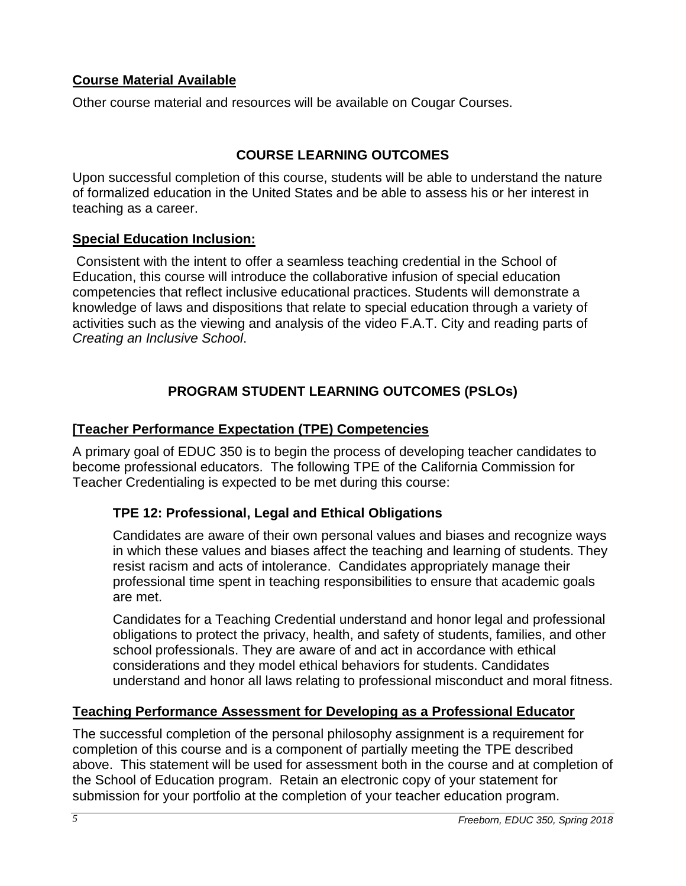# <span id="page-4-0"></span>**Course Material Available**

Other course material and resources will be available on Cougar Courses.

# **COURSE LEARNING OUTCOMES**

<span id="page-4-1"></span>Upon successful completion of this course, students will be able to understand the nature of formalized education in the United States and be able to assess his or her interest in teaching as a career.

## <span id="page-4-2"></span>**Special Education Inclusion:**

Consistent with the intent to offer a seamless teaching credential in the School of Education, this course will introduce the collaborative infusion of special education competencies that reflect inclusive educational practices. Students will demonstrate a knowledge of laws and dispositions that relate to special education through a variety of activities such as the viewing and analysis of the video F.A.T. City and reading parts of *Creating an Inclusive School*.

# **PROGRAM STUDENT LEARNING OUTCOMES (PSLOs)**

# <span id="page-4-4"></span><span id="page-4-3"></span>**[Teacher Performance Expectation (TPE) Competencies**

A primary goal of EDUC 350 is to begin the process of developing teacher candidates to become professional educators. The following TPE of the California Commission for Teacher Credentialing is expected to be met during this course:

## <span id="page-4-5"></span>**TPE 12: Professional, Legal and Ethical Obligations**

Candidates are aware of their own personal values and biases and recognize ways in which these values and biases affect the teaching and learning of students. They resist racism and acts of intolerance. Candidates appropriately manage their professional time spent in teaching responsibilities to ensure that academic goals are met.

Candidates for a Teaching Credential understand and honor legal and professional obligations to protect the privacy, health, and safety of students, families, and other school professionals. They are aware of and act in accordance with ethical considerations and they model ethical behaviors for students. Candidates understand and honor all laws relating to professional misconduct and moral fitness.

## <span id="page-4-6"></span>**Teaching Performance Assessment for Developing as a Professional Educator**

The successful completion of the personal philosophy assignment is a requirement for completion of this course and is a component of partially meeting the TPE described above. This statement will be used for assessment both in the course and at completion of the School of Education program. Retain an electronic copy of your statement for submission for your portfolio at the completion of your teacher education program.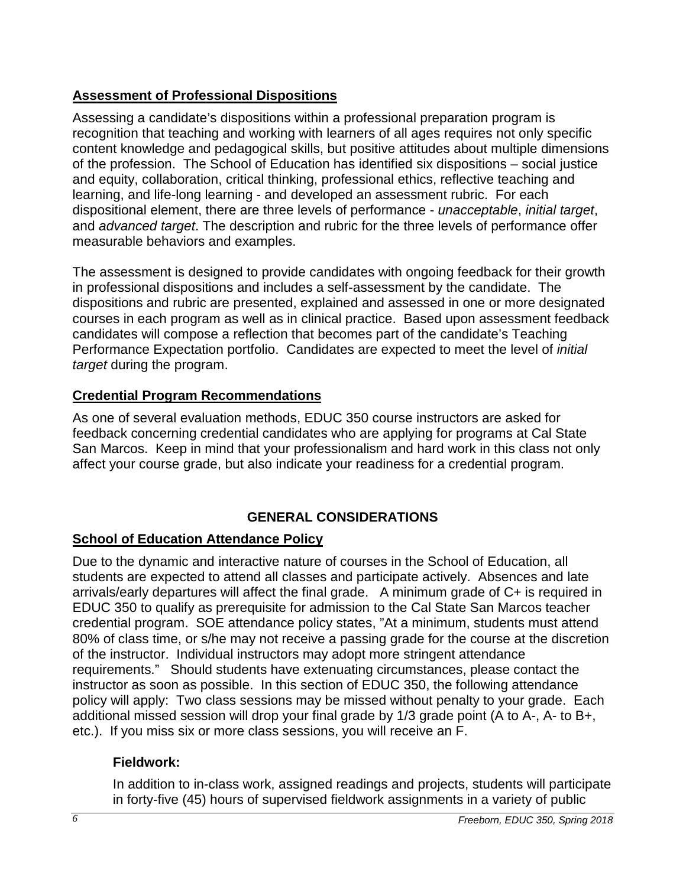# <span id="page-5-0"></span>**Assessment of Professional Dispositions**

Assessing a candidate's dispositions within a professional preparation program is recognition that teaching and working with learners of all ages requires not only specific content knowledge and pedagogical skills, but positive attitudes about multiple dimensions of the profession. The School of Education has identified six dispositions – social justice and equity, collaboration, critical thinking, professional ethics, reflective teaching and learning, and life-long learning - and developed an assessment rubric. For each dispositional element, there are three levels of performance - *unacceptable*, *initial target*, and *advanced target*. The description and rubric for the three levels of performance offer measurable behaviors and examples.

The assessment is designed to provide candidates with ongoing feedback for their growth in professional dispositions and includes a self-assessment by the candidate. The dispositions and rubric are presented, explained and assessed in one or more designated courses in each program as well as in clinical practice. Based upon assessment feedback candidates will compose a reflection that becomes part of the candidate's Teaching Performance Expectation portfolio. Candidates are expected to meet the level of *initial target* during the program.

## <span id="page-5-1"></span>**Credential Program Recommendations**

As one of several evaluation methods, EDUC 350 course instructors are asked for feedback concerning credential candidates who are applying for programs at Cal State San Marcos. Keep in mind that your professionalism and hard work in this class not only affect your course grade, but also indicate your readiness for a credential program.

# **GENERAL CONSIDERATIONS**

# <span id="page-5-3"></span><span id="page-5-2"></span>**School of Education Attendance Policy**

Due to the dynamic and interactive nature of courses in the School of Education, all students are expected to attend all classes and participate actively. Absences and late arrivals/early departures will affect the final grade. A minimum grade of C+ is required in EDUC 350 to qualify as prerequisite for admission to the Cal State San Marcos teacher credential program. SOE attendance policy states, "At a minimum, students must attend 80% of class time, or s/he may not receive a passing grade for the course at the discretion of the instructor. Individual instructors may adopt more stringent attendance requirements." Should students have extenuating circumstances, please contact the instructor as soon as possible. In this section of EDUC 350, the following attendance policy will apply: Two class sessions may be missed without penalty to your grade. Each additional missed session will drop your final grade by 1/3 grade point (A to A-, A- to B+, etc.). If you miss six or more class sessions, you will receive an F.

# <span id="page-5-4"></span>**Fieldwork:**

In addition to in-class work, assigned readings and projects, students will participate in forty-five (45) hours of supervised fieldwork assignments in a variety of public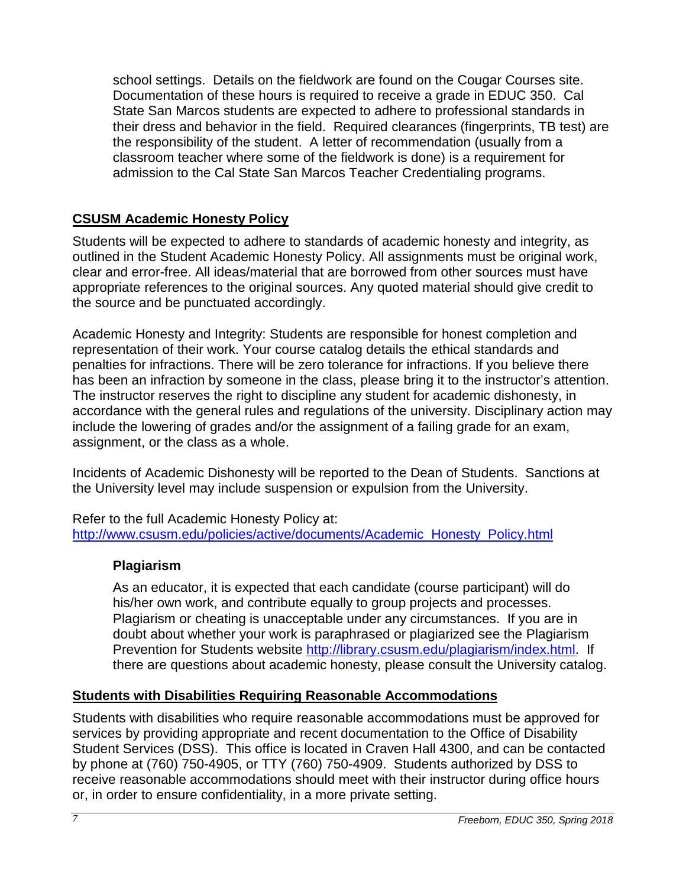school settings. Details on the fieldwork are found on the Cougar Courses site. Documentation of these hours is required to receive a grade in EDUC 350. Cal State San Marcos students are expected to adhere to professional standards in their dress and behavior in the field. Required clearances (fingerprints, TB test) are the responsibility of the student. A letter of recommendation (usually from a classroom teacher where some of the fieldwork is done) is a requirement for admission to the Cal State San Marcos Teacher Credentialing programs.

# <span id="page-6-0"></span>**CSUSM Academic Honesty Policy**

Students will be expected to adhere to standards of academic honesty and integrity, as outlined in the Student Academic Honesty Policy. All assignments must be original work, clear and error-free. All ideas/material that are borrowed from other sources must have appropriate references to the original sources. Any quoted material should give credit to the source and be punctuated accordingly.

Academic Honesty and Integrity: Students are responsible for honest completion and representation of their work. Your course catalog details the ethical standards and penalties for infractions. There will be zero tolerance for infractions. If you believe there has been an infraction by someone in the class, please bring it to the instructor's attention. The instructor reserves the right to discipline any student for academic dishonesty, in accordance with the general rules and regulations of the university. Disciplinary action may include the lowering of grades and/or the assignment of a failing grade for an exam, assignment, or the class as a whole.

Incidents of Academic Dishonesty will be reported to the Dean of Students. Sanctions at the University level may include suspension or expulsion from the University.

Refer to the full Academic Honesty Policy at: [http://www.csusm.edu/policies/active/documents/Academic\\_Honesty\\_Policy.html](http://www.csusm.edu/policies/active/documents/Academic_Honesty_Policy.html)

## <span id="page-6-1"></span>**Plagiarism**

As an educator, it is expected that each candidate (course participant) will do his/her own work, and contribute equally to group projects and processes. Plagiarism or cheating is unacceptable under any circumstances. If you are in doubt about whether your work is paraphrased or plagiarized see the Plagiarism Prevention for Students website [http://library.csusm.edu/plagiarism/index.html.](http://library.csusm.edu/plagiarism/index.html) If there are questions about academic honesty, please consult the University catalog.

# <span id="page-6-2"></span>**Students with Disabilities Requiring Reasonable Accommodations**

Students with disabilities who require reasonable accommodations must be approved for services by providing appropriate and recent documentation to the Office of Disability Student Services (DSS). This office is located in Craven Hall 4300, and can be contacted by phone at (760) 750-4905, or TTY (760) 750-4909. Students authorized by DSS to receive reasonable accommodations should meet with their instructor during office hours or, in order to ensure confidentiality, in a more private setting.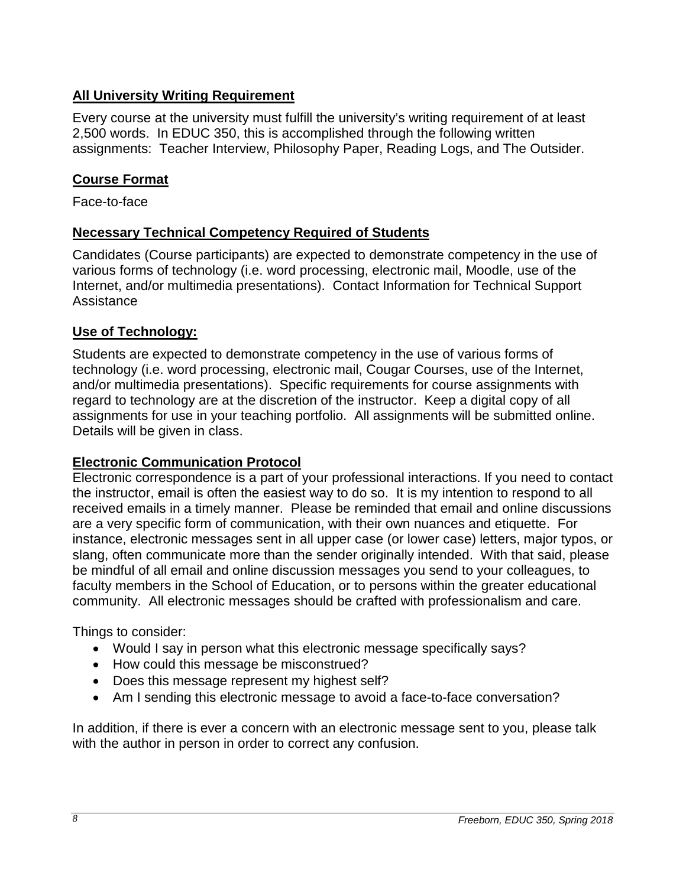# <span id="page-7-0"></span>**All University Writing Requirement**

Every course at the university must fulfill the university's writing requirement of at least 2,500 words. In EDUC 350, this is accomplished through the following written assignments: Teacher Interview, Philosophy Paper, Reading Logs, and The Outsider.

# <span id="page-7-1"></span>**Course Format**

Face-to-face

## <span id="page-7-2"></span>**Necessary Technical Competency Required of Students**

Candidates (Course participants) are expected to demonstrate competency in the use of various forms of technology (i.e. word processing, electronic mail, Moodle, use of the Internet, and/or multimedia presentations). Contact Information for Technical Support **Assistance** 

# <span id="page-7-3"></span>**Use of Technology:**

Students are expected to demonstrate competency in the use of various forms of technology (i.e. word processing, electronic mail, Cougar Courses, use of the Internet, and/or multimedia presentations). Specific requirements for course assignments with regard to technology are at the discretion of the instructor. Keep a digital copy of all assignments for use in your teaching portfolio. All assignments will be submitted online. Details will be given in class.

## **Electronic Communication Protocol**

Electronic correspondence is a part of your professional interactions. If you need to contact the instructor, email is often the easiest way to do so. It is my intention to respond to all received emails in a timely manner. Please be reminded that email and online discussions are a very specific form of communication, with their own nuances and etiquette. For instance, electronic messages sent in all upper case (or lower case) letters, major typos, or slang, often communicate more than the sender originally intended. With that said, please be mindful of all email and online discussion messages you send to your colleagues, to faculty members in the School of Education, or to persons within the greater educational community. All electronic messages should be crafted with professionalism and care.

Things to consider:

- Would I say in person what this electronic message specifically says?
- How could this message be misconstrued?
- Does this message represent my highest self?
- Am I sending this electronic message to avoid a face-to-face conversation?

In addition, if there is ever a concern with an electronic message sent to you, please talk with the author in person in order to correct any confusion.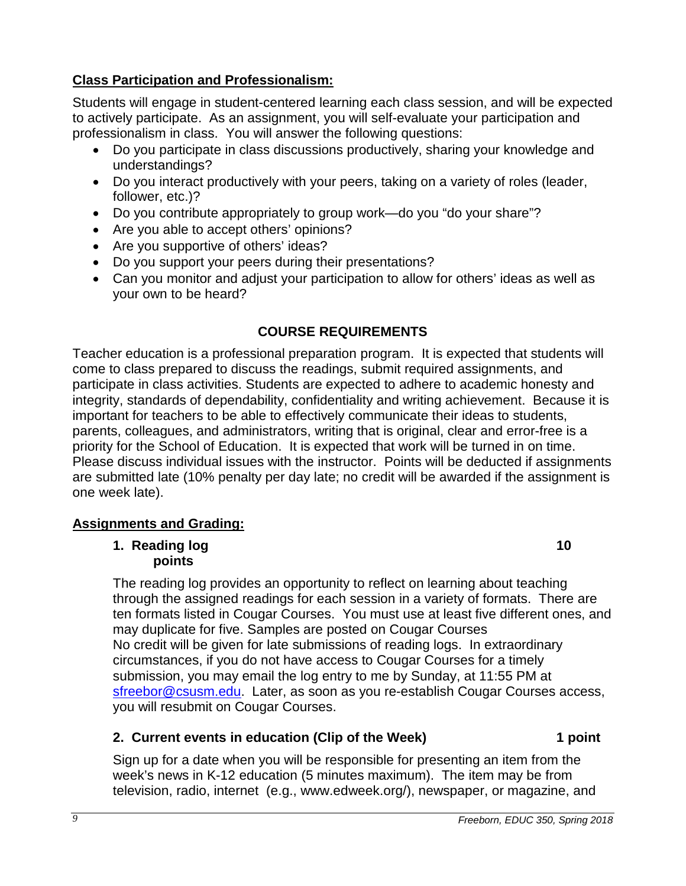# <span id="page-8-0"></span>**Class Participation and Professionalism:**

Students will engage in student-centered learning each class session, and will be expected to actively participate. As an assignment, you will self-evaluate your participation and professionalism in class. You will answer the following questions:

- Do you participate in class discussions productively, sharing your knowledge and understandings?
- Do you interact productively with your peers, taking on a variety of roles (leader, follower, etc.)?
- Do you contribute appropriately to group work—do you "do your share"?
- Are you able to accept others' opinions?
- Are you supportive of others' ideas?
- Do you support your peers during their presentations?
- Can you monitor and adjust your participation to allow for others' ideas as well as your own to be heard?

# **COURSE REQUIREMENTS**

<span id="page-8-1"></span>Teacher education is a professional preparation program. It is expected that students will come to class prepared to discuss the readings, submit required assignments, and participate in class activities. Students are expected to adhere to academic honesty and integrity, standards of dependability, confidentiality and writing achievement. Because it is important for teachers to be able to effectively communicate their ideas to students, parents, colleagues, and administrators, writing that is original, clear and error-free is a priority for the School of Education. It is expected that work will be turned in on time. Please discuss individual issues with the instructor. Points will be deducted if assignments are submitted late (10% penalty per day late; no credit will be awarded if the assignment is one week late).

## <span id="page-8-3"></span><span id="page-8-2"></span>**Assignments and Grading:**

#### **1. Reading log 10 points**

The reading log provides an opportunity to reflect on learning about teaching through the assigned readings for each session in a variety of formats. There are ten formats listed in Cougar Courses. You must use at least five different ones, and may duplicate for five. Samples are posted on Cougar Courses No credit will be given for late submissions of reading logs. In extraordinary circumstances, if you do not have access to Cougar Courses for a timely submission, you may email the log entry to me by Sunday, at 11:55 PM at [sfreebor@csusm.edu.](mailto:mcdaniel@csusm.edu) Later, as soon as you re-establish Cougar Courses access, you will resubmit on Cougar Courses.

# <span id="page-8-4"></span>**2. Current events in education (Clip of the Week) 1 point**

Sign up for a date when you will be responsible for presenting an item from the week's news in K-12 education (5 minutes maximum). The item may be from television, radio, internet (e.g., www.edweek.org/), newspaper, or magazine, and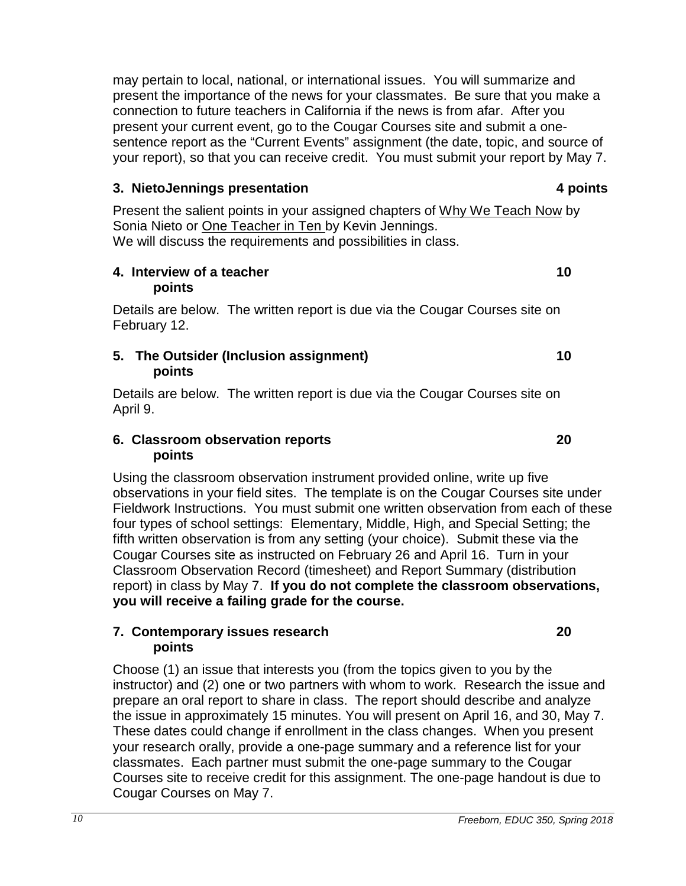may pertain to local, national, or international issues. You will summarize and present the importance of the news for your classmates. Be sure that you make a connection to future teachers in California if the news is from afar. After you present your current event, go to the Cougar Courses site and submit a onesentence report as the "Current Events" assignment (the date, topic, and source of your report), so that you can receive credit. You must submit your report by May 7.

#### <span id="page-9-0"></span>**3. NietoJennings presentation 4 points**

Present the salient points in your assigned chapters of Why We Teach Now by Sonia Nieto or One Teacher in Ten by Kevin Jennings. We will discuss the requirements and possibilities in class.

#### <span id="page-9-1"></span>**4. Interview of a teacher 10 points**

Details are below. The written report is due via the Cougar Courses site on February 12.

#### <span id="page-9-2"></span>**5. The Outsider (Inclusion assignment) 10 points**

Details are below. The written report is due via the Cougar Courses site on April 9.

#### <span id="page-9-3"></span>**6. Classroom observation reports 20 points**

Using the classroom observation instrument provided online, write up five observations in your field sites. The template is on the Cougar Courses site under Fieldwork Instructions. You must submit one written observation from each of these four types of school settings: Elementary, Middle, High, and Special Setting; the fifth written observation is from any setting (your choice). Submit these via the Cougar Courses site as instructed on February 26 and April 16. Turn in your Classroom Observation Record (timesheet) and Report Summary (distribution report) in class by May 7. **If you do not complete the classroom observations, you will receive a failing grade for the course.** 

#### <span id="page-9-4"></span>**7. Contemporary issues research 20 points**

Choose (1) an issue that interests you (from the topics given to you by the instructor) and (2) one or two partners with whom to work. Research the issue and prepare an oral report to share in class. The report should describe and analyze the issue in approximately 15 minutes. You will present on April 16, and 30, May 7. These dates could change if enrollment in the class changes. When you present your research orally, provide a one-page summary and a reference list for your classmates. Each partner must submit the one-page summary to the Cougar Courses site to receive credit for this assignment. The one-page handout is due to Cougar Courses on May 7.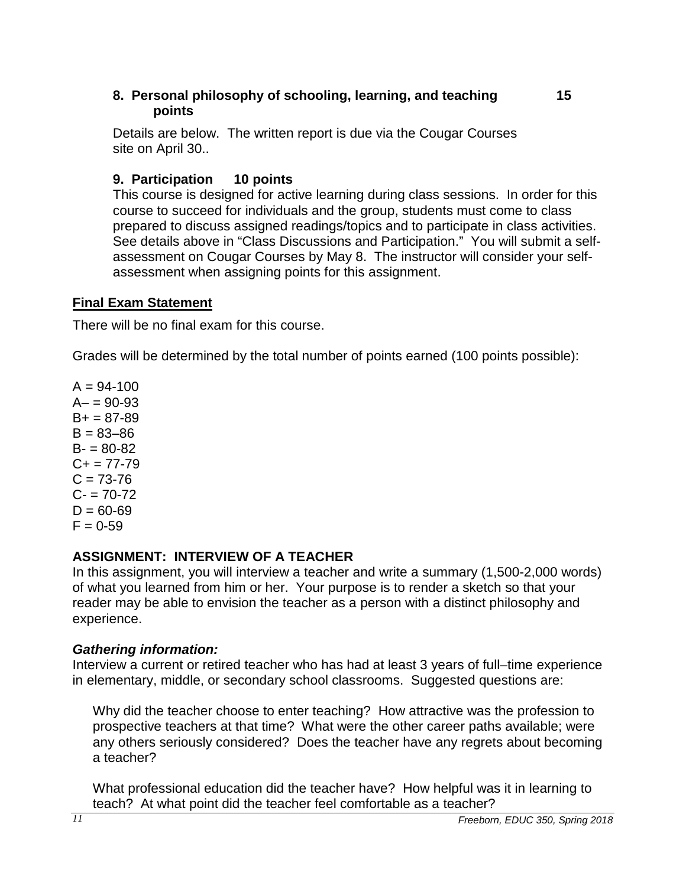#### <span id="page-10-0"></span>**8. Personal philosophy of schooling, learning, and teaching 15 points**

Details are below. The written report is due via the Cougar Courses site on April 30..

# <span id="page-10-1"></span>**9. Participation 10 points**

This course is designed for active learning during class sessions. In order for this course to succeed for individuals and the group, students must come to class prepared to discuss assigned readings/topics and to participate in class activities. See details above in "Class Discussions and Participation." You will submit a selfassessment on Cougar Courses by May 8. The instructor will consider your selfassessment when assigning points for this assignment.

## <span id="page-10-2"></span>**Final Exam Statement**

There will be no final exam for this course.

Grades will be determined by the total number of points earned (100 points possible):

 $A = 94 - 100$  $A - 90 - 93$  $B+ = 87-89$  $B = 83 - 86$  $B - 80 - 82$  $C_{+}$  = 77-79  $C = 73 - 76$  $C - 70 - 72$  $D = 60 - 69$  $F = 0.59$ 

## <span id="page-10-3"></span>**ASSIGNMENT: INTERVIEW OF A TEACHER**

In this assignment, you will interview a teacher and write a summary (1,500-2,000 words) of what you learned from him or her. Your purpose is to render a sketch so that your reader may be able to envision the teacher as a person with a distinct philosophy and experience.

## *Gathering information:*

Interview a current or retired teacher who has had at least 3 years of full–time experience in elementary, middle, or secondary school classrooms. Suggested questions are:

Why did the teacher choose to enter teaching? How attractive was the profession to prospective teachers at that time? What were the other career paths available; were any others seriously considered? Does the teacher have any regrets about becoming a teacher?

What professional education did the teacher have? How helpful was it in learning to teach? At what point did the teacher feel comfortable as a teacher?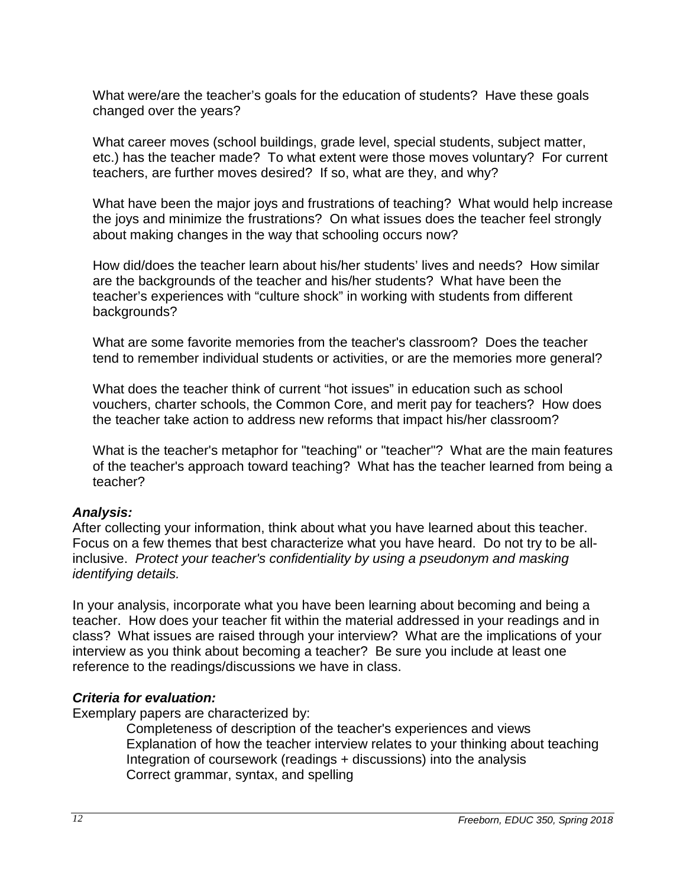What were/are the teacher's goals for the education of students? Have these goals changed over the years?

What career moves (school buildings, grade level, special students, subject matter, etc.) has the teacher made? To what extent were those moves voluntary? For current teachers, are further moves desired? If so, what are they, and why?

What have been the major joys and frustrations of teaching? What would help increase the joys and minimize the frustrations? On what issues does the teacher feel strongly about making changes in the way that schooling occurs now?

How did/does the teacher learn about his/her students' lives and needs? How similar are the backgrounds of the teacher and his/her students? What have been the teacher's experiences with "culture shock" in working with students from different backgrounds?

What are some favorite memories from the teacher's classroom? Does the teacher tend to remember individual students or activities, or are the memories more general?

What does the teacher think of current "hot issues" in education such as school vouchers, charter schools, the Common Core, and merit pay for teachers? How does the teacher take action to address new reforms that impact his/her classroom?

What is the teacher's metaphor for "teaching" or "teacher"? What are the main features of the teacher's approach toward teaching? What has the teacher learned from being a teacher?

## *Analysis:*

After collecting your information, think about what you have learned about this teacher. Focus on a few themes that best characterize what you have heard. Do not try to be allinclusive. *Protect your teacher's confidentiality by using a pseudonym and masking identifying details.*

In your analysis, incorporate what you have been learning about becoming and being a teacher. How does your teacher fit within the material addressed in your readings and in class? What issues are raised through your interview? What are the implications of your interview as you think about becoming a teacher? Be sure you include at least one reference to the readings/discussions we have in class.

## *Criteria for evaluation:*

<span id="page-11-0"></span>Exemplary papers are characterized by:

Completeness of description of the teacher's experiences and views Explanation of how the teacher interview relates to your thinking about teaching Integration of coursework (readings + discussions) into the analysis Correct grammar, syntax, and spelling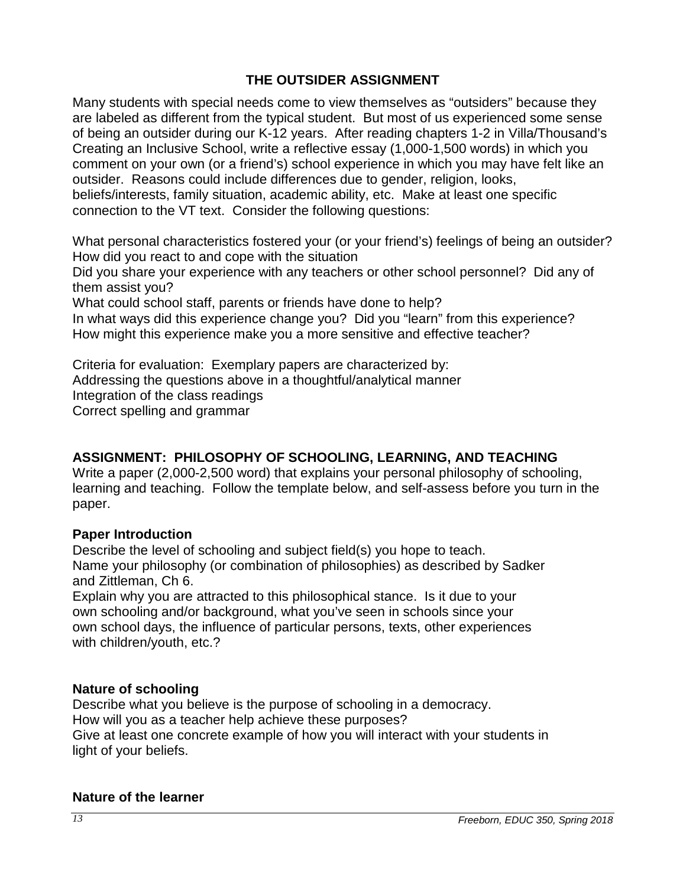# **THE OUTSIDER ASSIGNMENT**

Many students with special needs come to view themselves as "outsiders" because they are labeled as different from the typical student. But most of us experienced some sense of being an outsider during our K-12 years. After reading chapters 1-2 in Villa/Thousand's Creating an Inclusive School, write a reflective essay (1,000-1,500 words) in which you comment on your own (or a friend's) school experience in which you may have felt like an outsider. Reasons could include differences due to gender, religion, looks, beliefs/interests, family situation, academic ability, etc. Make at least one specific connection to the VT text. Consider the following questions:

What personal characteristics fostered your (or your friend's) feelings of being an outsider? How did you react to and cope with the situation

Did you share your experience with any teachers or other school personnel? Did any of them assist you?

What could school staff, parents or friends have done to help?

In what ways did this experience change you? Did you "learn" from this experience? How might this experience make you a more sensitive and effective teacher?

Criteria for evaluation: Exemplary papers are characterized by: Addressing the questions above in a thoughtful/analytical manner Integration of the class readings Correct spelling and grammar

## <span id="page-12-0"></span>**ASSIGNMENT: PHILOSOPHY OF SCHOOLING, LEARNING, AND TEACHING**

Write a paper (2,000-2,500 word) that explains your personal philosophy of schooling, learning and teaching. Follow the template below, and self-assess before you turn in the paper.

#### **Paper Introduction**

Describe the level of schooling and subject field(s) you hope to teach. Name your philosophy (or combination of philosophies) as described by Sadker and Zittleman, Ch 6.

Explain why you are attracted to this philosophical stance. Is it due to your own schooling and/or background, what you've seen in schools since your own school days, the influence of particular persons, texts, other experiences with children/youth, etc.?

#### **Nature of schooling**

Describe what you believe is the purpose of schooling in a democracy. How will you as a teacher help achieve these purposes? Give at least one concrete example of how you will interact with your students in light of your beliefs.

#### **Nature of the learner**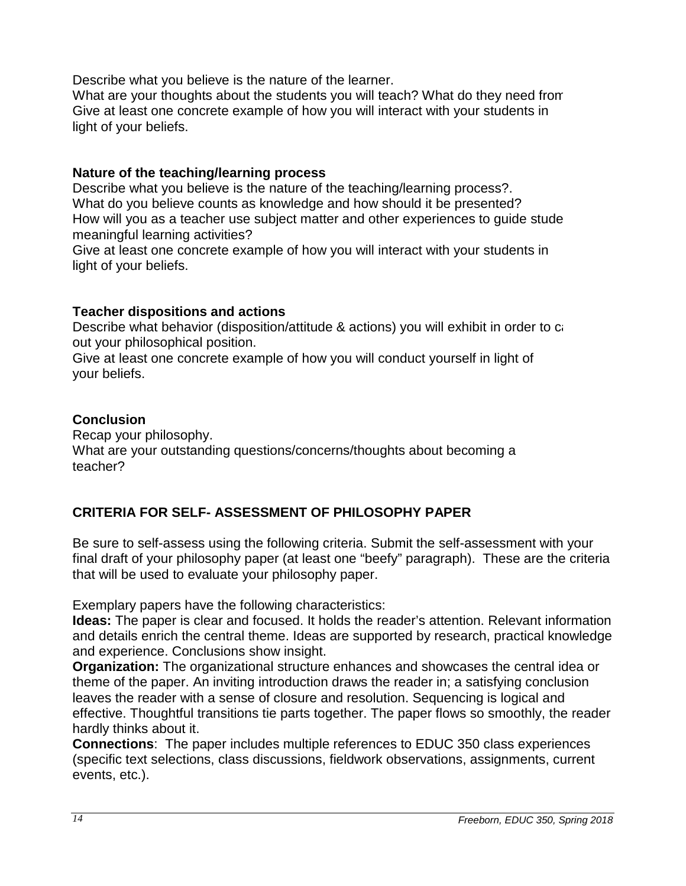Describe what you believe is the nature of the learner.

What are your thoughts about the students you will teach? What do they need from Give at least one concrete example of how you will interact with your students in light of your beliefs.

#### **Nature of the teaching/learning process**

Describe what you believe is the nature of the teaching/learning process?. What do you believe counts as knowledge and how should it be presented? How will you as a teacher use subject matter and other experiences to guide stude meaningful learning activities?

Give at least one concrete example of how you will interact with your students in light of your beliefs.

## **Teacher dispositions and actions**

Describe what behavior (disposition/attitude & actions) you will exhibit in order to ca out your philosophical position.

Give at least one concrete example of how you will conduct yourself in light of your beliefs.

## **Conclusion**

Recap your philosophy. What are your outstanding questions/concerns/thoughts about becoming a teacher?

# <span id="page-13-0"></span>**CRITERIA FOR SELF- ASSESSMENT OF PHILOSOPHY PAPER**

Be sure to self-assess using the following criteria. Submit the self-assessment with your final draft of your philosophy paper (at least one "beefy" paragraph). These are the criteria that will be used to evaluate your philosophy paper.

Exemplary papers have the following characteristics:

**Ideas:** The paper is clear and focused. It holds the reader's attention. Relevant information and details enrich the central theme. Ideas are supported by research, practical knowledge and experience. Conclusions show insight.

**Organization:** The organizational structure enhances and showcases the central idea or theme of the paper. An inviting introduction draws the reader in; a satisfying conclusion leaves the reader with a sense of closure and resolution. Sequencing is logical and effective. Thoughtful transitions tie parts together. The paper flows so smoothly, the reader hardly thinks about it.

**Connections**: The paper includes multiple references to EDUC 350 class experiences (specific text selections, class discussions, fieldwork observations, assignments, current events, etc.).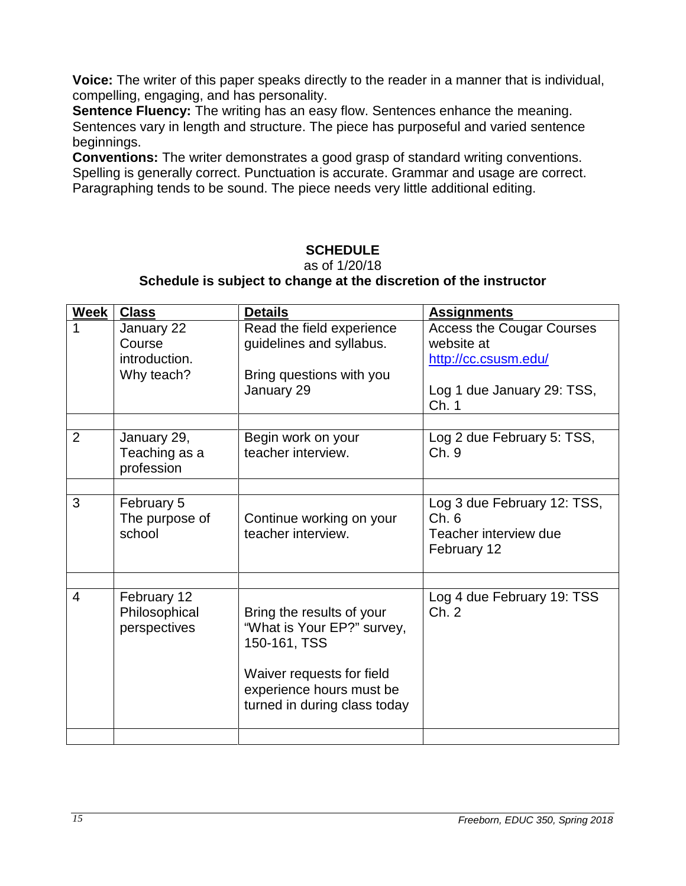**Voice:** The writer of this paper speaks directly to the reader in a manner that is individual, compelling, engaging, and has personality.

**Sentence Fluency:** The writing has an easy flow. Sentences enhance the meaning. Sentences vary in length and structure. The piece has purposeful and varied sentence beginnings.

**Conventions:** The writer demonstrates a good grasp of standard writing conventions. Spelling is generally correct. Punctuation is accurate. Grammar and usage are correct. Paragraphing tends to be sound. The piece needs very little additional editing.

# **SCHEDULE**

as of 1/20/18

## **Schedule is subject to change at the discretion of the instructor**

<span id="page-14-0"></span>

| <b>Week</b>    | <b>Class</b>                                        | <b>Details</b>                                                                                                                                                   | <b>Assignments</b>                                                                                            |
|----------------|-----------------------------------------------------|------------------------------------------------------------------------------------------------------------------------------------------------------------------|---------------------------------------------------------------------------------------------------------------|
| 1              | January 22<br>Course<br>introduction.<br>Why teach? | Read the field experience<br>guidelines and syllabus.<br>Bring questions with you<br>January 29                                                                  | <b>Access the Cougar Courses</b><br>website at<br>http://cc.csusm.edu/<br>Log 1 due January 29: TSS,<br>Ch. 1 |
| $\overline{2}$ | January 29,<br>Teaching as a<br>profession          | Begin work on your<br>teacher interview.                                                                                                                         | Log 2 due February 5: TSS,<br>Ch. 9                                                                           |
| 3              | February 5<br>The purpose of<br>school              | Continue working on your<br>teacher interview.                                                                                                                   | Log 3 due February 12: TSS,<br>Ch.6<br>Teacher interview due<br>February 12                                   |
|                |                                                     |                                                                                                                                                                  |                                                                                                               |
| 4              | February 12<br>Philosophical<br>perspectives        | Bring the results of your<br>"What is Your EP?" survey,<br>150-161, TSS<br>Waiver requests for field<br>experience hours must be<br>turned in during class today | Log 4 due February 19: TSS<br>Ch. 2                                                                           |
|                |                                                     |                                                                                                                                                                  |                                                                                                               |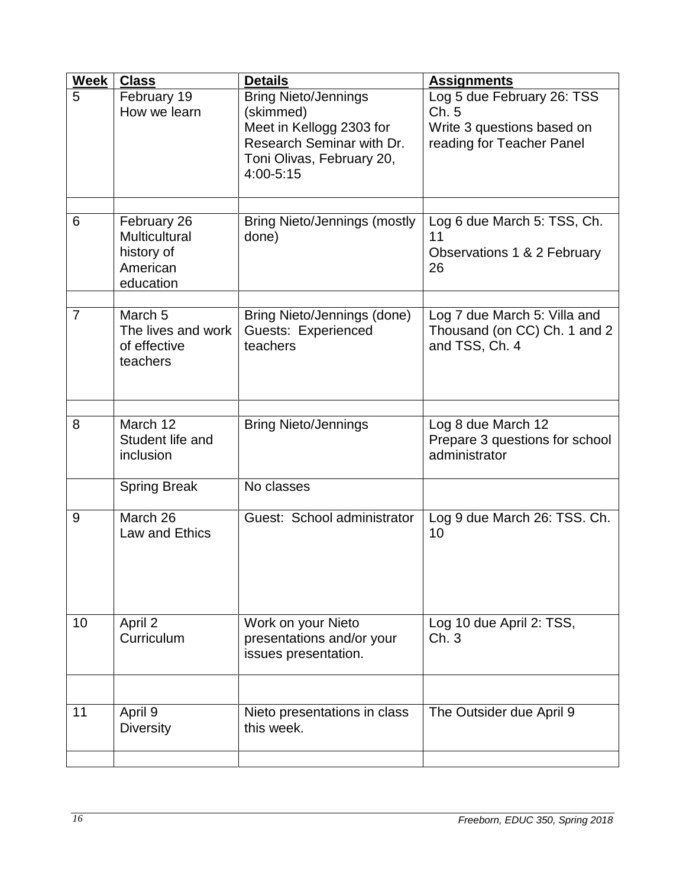| Week           | <b>Class</b>                                                               | <b>Details</b>                                                                                                                              | <b>Assignments</b>                                                                            |
|----------------|----------------------------------------------------------------------------|---------------------------------------------------------------------------------------------------------------------------------------------|-----------------------------------------------------------------------------------------------|
| 5              | February 19<br>How we learn                                                | <b>Bring Nieto/Jennings</b><br>(skimmed)<br>Meet in Kellogg 2303 for<br>Research Seminar with Dr.<br>Toni Olivas, February 20,<br>4:00-5:15 | Log 5 due February 26: TSS<br>Ch.5<br>Write 3 questions based on<br>reading for Teacher Panel |
| 6              | February 26<br><b>Multicultural</b><br>history of<br>American<br>education | <b>Bring Nieto/Jennings (mostly</b><br>done)                                                                                                | Log 6 due March 5: TSS, Ch.<br>11<br>Observations 1 & 2 February<br>26                        |
| $\overline{7}$ | March <sub>5</sub><br>The lives and work<br>of effective<br>teachers       | Bring Nieto/Jennings (done)<br>Guests: Experienced<br>teachers                                                                              | Log 7 due March 5: Villa and<br>Thousand (on CC) Ch. 1 and 2<br>and TSS, Ch. 4                |
| 8              | March 12<br>Student life and<br>inclusion                                  | <b>Bring Nieto/Jennings</b>                                                                                                                 | Log 8 due March 12<br>Prepare 3 questions for school<br>administrator                         |
|                | <b>Spring Break</b>                                                        | No classes                                                                                                                                  |                                                                                               |
| 9              | March 26<br>Law and Ethics                                                 | Guest: School administrator                                                                                                                 | Log 9 due March 26: TSS. Ch.<br>10                                                            |
| 10             | April 2<br>Curriculum                                                      | Work on your Nieto<br>presentations and/or your<br>issues presentation.                                                                     | Log 10 due April 2: TSS,<br>Ch.3                                                              |
|                |                                                                            |                                                                                                                                             |                                                                                               |
| 11             | April 9<br><b>Diversity</b>                                                | Nieto presentations in class<br>this week.                                                                                                  | The Outsider due April 9                                                                      |
|                |                                                                            |                                                                                                                                             |                                                                                               |